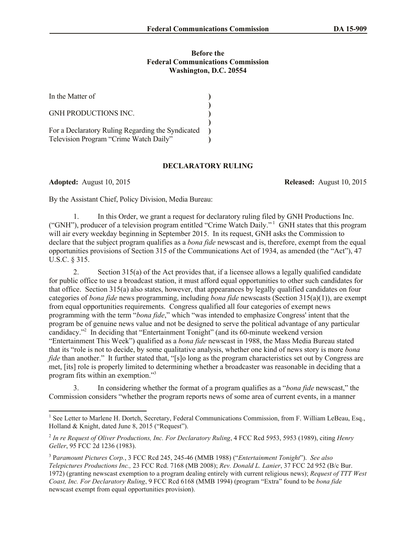## **Before the Federal Communications Commission Washington, D.C. 20554**

| In the Matter of                                                                            |  |
|---------------------------------------------------------------------------------------------|--|
| <b>GNH PRODUCTIONS INC.</b>                                                                 |  |
| For a Declaratory Ruling Regarding the Syndicated<br>Television Program "Crime Watch Daily" |  |

## **DECLARATORY RULING**

 $\overline{\phantom{a}}$ 

**Adopted:** August 10, 2015 **Released:** August 10, 2015

By the Assistant Chief, Policy Division, Media Bureau:

1. In this Order, we grant a request for declaratory ruling filed by GNH Productions Inc. ("GNH"), producer of a television program entitled "Crime Watch Daily." <sup>1</sup> GNH states that this program will air every weekday beginning in September 2015. In its request, GNH asks the Commission to declare that the subject program qualifies as a *bona fide* newscast and is, therefore, exempt from the equal opportunities provisions of Section 315 of the Communications Act of 1934, as amended (the "Act"), 47 U.S.C. § 315.

2. Section 315(a) of the Act provides that, if a licensee allows a legally qualified candidate for public office to use a broadcast station, it must afford equal opportunities to other such candidates for that office. Section 315(a) also states, however, that appearances by legally qualified candidates on four categories of *bona fide* news programming, including *bona fide* newscasts (Section 315(a)(1)), are exempt from equal opportunities requirements. Congress qualified all four categories of exempt news programming with the term "*bona fide*," which "was intended to emphasize Congress' intent that the program be of genuine news value and not be designed to serve the political advantage of any particular candidacy."<sup>2</sup> In deciding that "Entertainment Tonight" (and its 60-minute weekend version "Entertainment This Week") qualified as a *bona fide* newscast in 1988, the Mass Media Bureau stated that its "role is not to decide, by some qualitative analysis, whether one kind of news story is more *bona fide* than another." It further stated that, "[s]o long as the program characteristics set out by Congress are met, [its] role is properly limited to determining whether a broadcaster was reasonable in deciding that a program fits within an exemption."<sup>3</sup>

3. In considering whether the format of a program qualifies as a "*bona fide* newscast," the Commission considers "whether the program reports news of some area of current events, in a manner

<sup>&</sup>lt;sup>1</sup> See Letter to Marlene H. Dortch, Secretary, Federal Communications Commission, from F. William LeBeau, Esq., Holland & Knight, dated June 8, 2015 ("Request").

<sup>2</sup> *In re Request of Oliver Productions, Inc. For Declaratory Ruling*, 4 FCC Rcd 5953, 5953 (1989), citing *Henry Geller*, 95 FCC 2d 1236 (1983).

<sup>3</sup> P*aramount Pictures Corp.*, 3 FCC Rcd 245, 245-46 (MMB 1988) ("*Entertainment Tonight*"). *See also Telepictures Productions Inc.,* 23 FCC Rcd. 7168 (MB 2008); *Rev. Donald L. Lanier*, 37 FCC 2d 952 (B/c Bur. 1972) (granting newscast exemption to a program dealing entirely with current religious news); *Request of TTT West Coast, Inc. For Declaratory Ruling*, 9 FCC Rcd 6168 (MMB 1994) (program "Extra" found to be *bona fide* newscast exempt from equal opportunities provision).